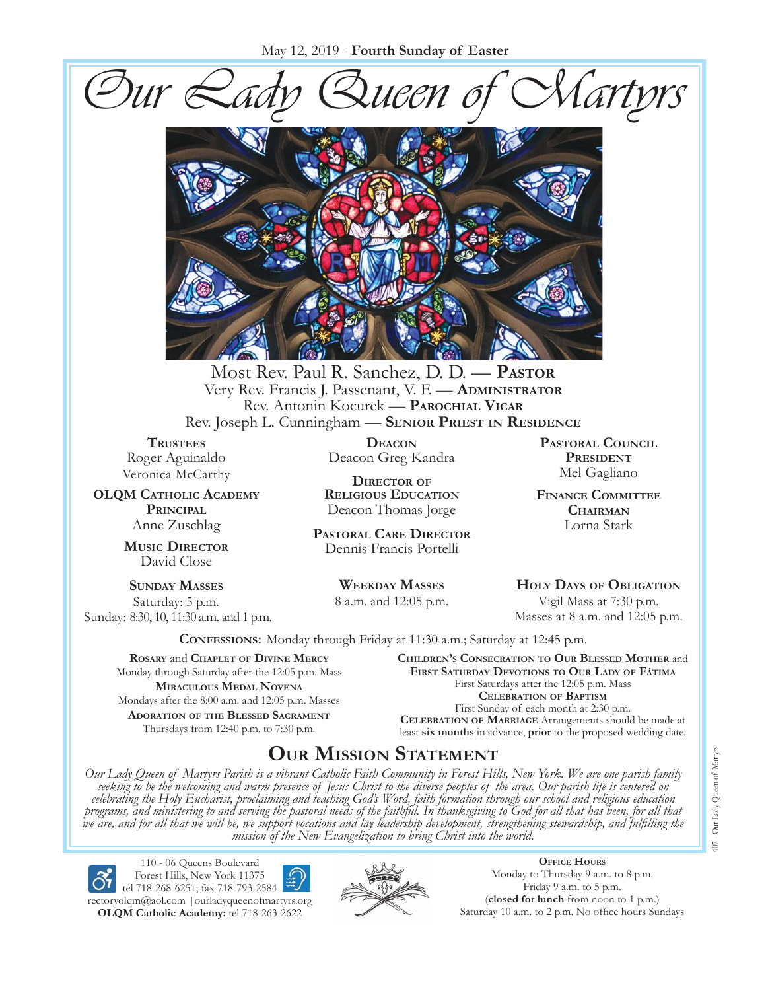May 12, 2019 - **Fourth Sunday of Easter**





Most Rev. Paul R. Sanchez, D. D. — **Pastor** Very Rev. Francis J. Passenant, V. F. — **Administrator** Rev. Antonin Kocurek — **Parochial Vicar** Rev. Joseph L. Cunningham — **Senior Priest in Residence**

**TRUSTEES** Roger Aguinaldo Veronica McCarthy

**OLQM Catholic Academy Principal** Anne Zuschlag

> **Music Director** David Close

**Sunday Masses** Saturday: 5 p.m. Sunday: 8:30, 10, 11:30 a.m. and 1 p.m.

**Deacon** Deacon Greg Kandra

**Director of Religious Education** Deacon Thomas Jorge

**Pastoral Care Director** Dennis Francis Portelli

> **Weekday Masses** 8 a.m. and 12:05 p.m.

**Pastoral Council** PRESIDENT Mel Gagliano

**Finance Committee Chairman** Lorna Stark

**Holy Days of Obligation** Vigil Mass at 7:30 p.m. Masses at 8 a.m. and 12:05 p.m.

**Confessions:** Monday through Friday at 11:30 a.m.; Saturday at 12:45 p.m.

**Rosary** and **Chaplet of Divine Mercy** Monday through Saturday after the 12:05 p.m. Mass **Miraculous Medal Novena** Mondays after the 8:00 a.m. and 12:05 p.m. Masses **Adoration of the Blessed Sacrament** Thursdays from 12:40 p.m. to 7:30 p.m.

**Children's Consecration to Our Blessed Mother** and **First Saturday Devotions to Our Lady of Fátima** First Saturdays after the 12:05 p.m. Mass **Celebration of Baptism** First Sunday of each month at 2:30 p.m. **Celebration of Marriage** Arrangements should be made at least **six months** in advance, **prior** to the proposed wedding date.

## **Our Mission Statement**

Our Lady Queen of Martyrs Parish is a vibrant Catholic Faith Community in Forest Hills, New York. We are one parish family<br>seeking to be the welcoming and warm presence of Jesus Christ to the diverse peoples of the area. O *celebrating the Holy Eucharist, proclaiming and teaching God's Word, faith formation through our school and religious education*  programs, and ministering to and serving the pastoral needs of the faithful. In thanksgiving to God for all that has been, for all that<br>we are, and for all that we will be, we support vocations and lay leadership developme *mission of the New Evangelization to bring Christ into the world.*

110 - 06 Queens Boulevard Forest Hills, New York 11375 tel 718-268-6251; fax 718-793-2584 [rectoryolqm@aol.com](mailto:rectoryolqm@aol.com) **|**[ourladyqueenofmartyrs.org](www.ourladyqueenofmartyrs.org) **OLQM Catholic Academy:** tel 718-263-2622



**Office Hours** Monday to Thursday 9 a.m. to 8 p.m. Friday 9 a.m. to 5 p.m. (**closed for lunch** from noon to 1 p.m.) Saturday 10 a.m. to 2 p.m. No office hours Sundays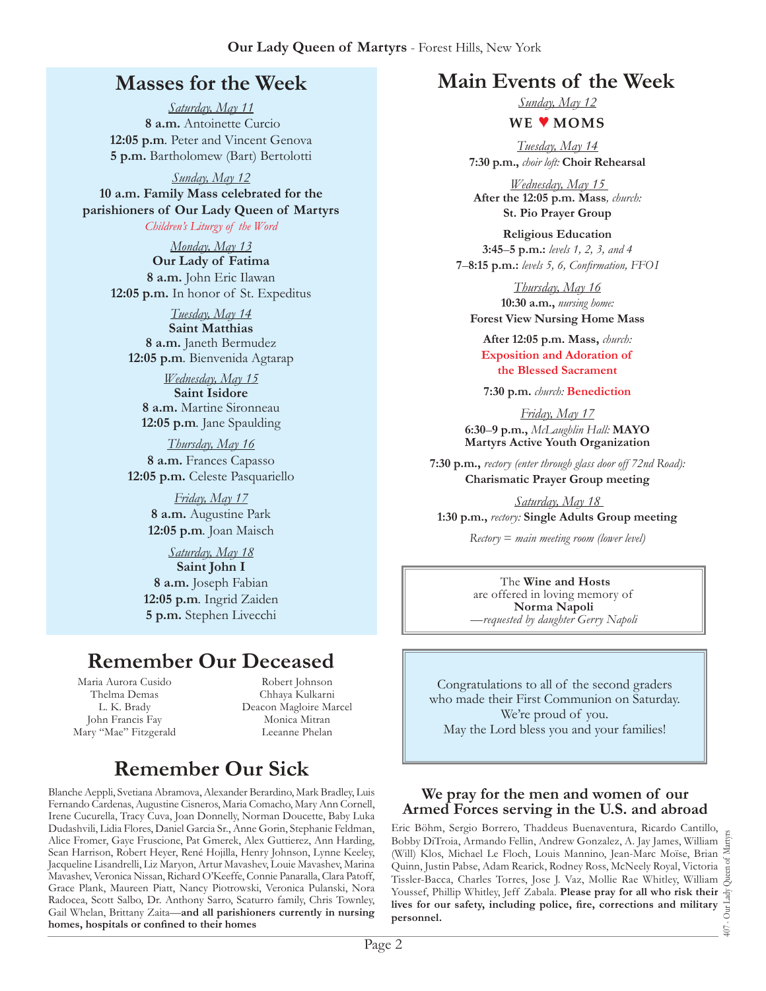## **Masses for the Week**

*Saturday, May 11*  **8 a.m.** Antoinette Curcio **12:05 p.m***.* Peter and Vincent Genova **5 p.m.** Bartholomew (Bart) Bertolotti

*Sunday, May 12*  **10 a.m. Family Mass celebrated for the parishioners of Our Lady Queen of Martyrs** *Children's Liturgy of the Word* 

> *Monday, May 13*  **Our Lady of Fatima 8 a.m.** John Eric Ilawan **12:05 p.m.** In honor of St. Expeditus

*Tuesday, May 14*  **Saint Matthias 8 a.m.** Janeth Bermudez **12:05 p.m***.* Bienvenida Agtarap

*Wednesday, May 15*  **Saint Isidore 8 a.m.** Martine Sironneau **12:05 p.m***.* Jane Spaulding

*Thursday, May 16*  **8 a.m.** Frances Capasso **12:05 p.m.** Celeste Pasquariello

> *Friday, May 17*  **8 a.m.** Augustine Park **12:05 p.m***.* Joan Maisch

*Saturday, May 18*  **Saint John I 8 a.m.** Joseph Fabian **12:05 p.m***.* Ingrid Zaiden **5 p.m.** Stephen Livecchi

## **Remember Our Deceased**

Maria Aurora Cusido Thelma Demas L. K. Brady John Francis Fay Mary "Mae" Fitzgerald

Robert Johnson Chhaya Kulkarni Deacon Magloire Marcel Monica Mitran Leeanne Phelan

## **Remember Our Sick**

Blanche Aeppli, Svetiana Abramova, Alexander Berardino, Mark Bradley, Luis Fernando Cardenas, Augustine Cisneros, Maria Comacho, Mary Ann Cornell, Irene Cucurella, Tracy Cuva, Joan Donnelly, Norman Doucette, Baby Luka Dudashvili, Lidia Flores, Daniel Garcia Sr., Anne Gorin, Stephanie Feldman, Alice Fromer, Gaye Fruscione, Pat Gmerek, Alex Guttierez, Ann Harding, Sean Harrison, Robert Heyer, René Hojilla, Henry Johnson, Lynne Keeley, Jacqueline Lisandrelli, Liz Maryon, Artur Mavashev, Louie Mavashev, Marina Mavashev, Veronica Nissan, Richard O'Keeffe, Connie Panaralla, Clara Patoff, Grace Plank, Maureen Piatt, Nancy Piotrowski, Veronica Pulanski, Nora Radocea, Scott Salbo, Dr. Anthony Sarro, Scaturro family, Chris Townley, Gail Whelan, Brittany Zaita—**and all parishioners currently in nursing homes, hospitals or confined to their homes**

## **Main Events of the Week**

*Sunday, May 12* 

### **We** ♥ **Moms**

*Tuesday, May 14*  **7:30 p.m.,** *choir loft:* **Choir Rehearsal**

*Wednesday, May 15*  **After the 12:05 p.m. Mass***, church:*  **St. Pio Prayer Group** 

**Religious Education 3:45**–**5 p.m.:** *levels 1, 2, 3, and 4*  **7**–**8:15 p.m.:** *levels 5, 6, Confirmation, FFO  I*

*Thursday, May 16*  **10:30 a.m.,** *nursing home:*  **Forest View Nursing Home Mass**

**After 12:05 p.m. Mass,** *church:*  **Exposition and Adoration of the Blessed Sacrament**

**7:30 p.m.** *church:* **Benediction** 

*Friday, May 17*  **6:30**–**9 p.m.,** *McLaughlin Hall:* **MAYO Martyrs Active Youth Organization**

**7:30 p.m.,** *rectory (enter through glass door off 72nd Road):* **Charismatic Prayer Group meeting**

*Saturday, May 18*  **1:30 p.m.,** *rectory:* **Single Adults Group meeting**

*Rectory* = *main meeting room (lower level)*

The **Wine and Hosts** are offered in loving memory of **Norma Napoli** *—requested by daughter Gerry Napoli*

Congratulations to all of the second graders who made their First Communion on Saturday. We're proud of you. May the Lord bless you and your families!

### **We pray for the men and women of our Armed Forces serving in the U.S. and abroad**

Eric Böhm, Sergio Borrero, Thaddeus Buenaventura, Ricardo Cantillo, Bobby DiTroia, Armando Fellin, Andrew Gonzalez, A. Jay James, William (Will) Klos, Michael Le Floch, Louis Mannino, Jean-Marc Moïse, Brian Quinn, Justin Pabse, Adam Rearick, Rodney Ross, McNeely Royal, Victoria Tissler-Bacca, Charles Torres, Jose J. Vaz, Mollie Rae Whitley, William Youssef, Phillip Whitley, Jeff Zabala. **Please pray for all who risk their lives for our safety, including police, fire, corrections and military personnel.**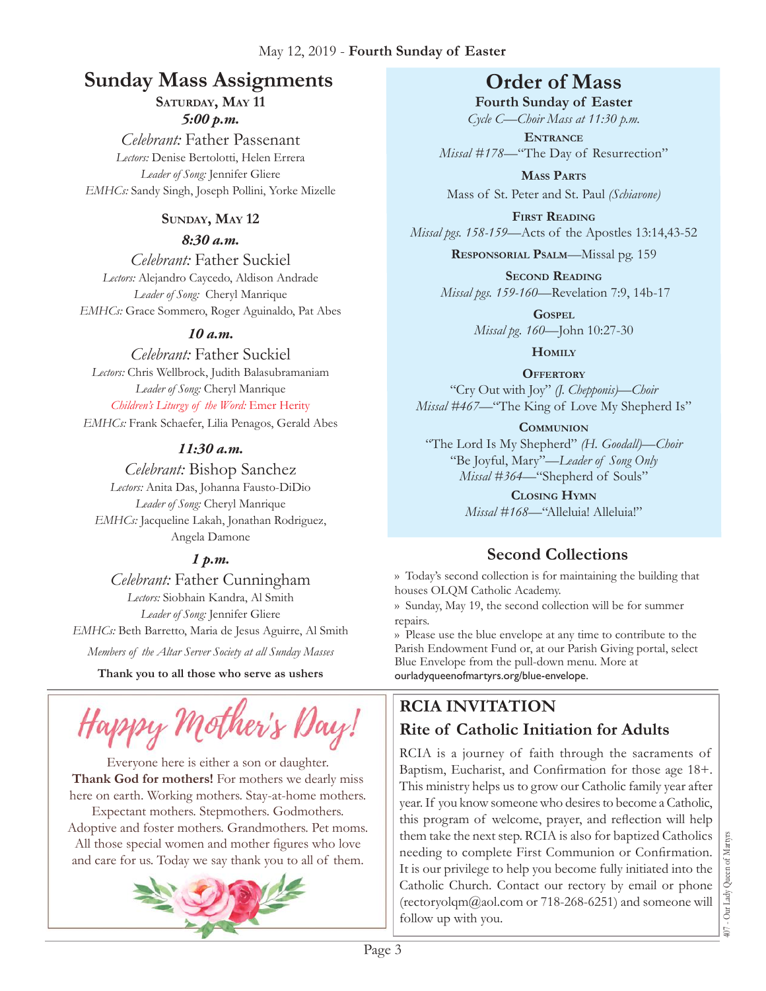## **Sunday Mass Assignments Order of Mass**

SATURDAY, MAY 11

### *5:00 p.m.*

*Celebrant:* Father Passenant *Lectors:* Denise Bertolotti, Helen Errera *Leader of Song:* Jennifer Gliere *EMHCs:* Sandy Singh, Joseph Pollini, Yorke Mizelle

### **Sunday, May 12**

### *8:30 a.m.*

*Celebrant:* Father Suckiel *Lectors:* Alejandro Caycedo, Aldison Andrade *Leader of Song:* Cheryl Manrique *EMHCs:* Grace Sommero, Roger Aguinaldo, Pat Abes

## *10 a.m.*

*Celebrant:* Father Suckiel *Lectors:* Chris Wellbrock, Judith Balasubramaniam *Leader of Song:* Cheryl Manrique *Children's Liturgy of the Word:* Emer Herity

*EMHCs:* Frank Schaefer, Lilia Penagos, Gerald Abes

## *11:30 a.m.*

*Celebrant:* Bishop Sanchez *Lectors:* Anita Das, Johanna Fausto-DiDio *Leader of Song:* Cheryl Manrique *EMHCs:* Jacqueline Lakah, Jonathan Rodriguez, Angela Damone

## *1 p.m.*

*Celebrant:* Father Cunningham *Lectors:* Siobhain Kandra, Al Smith *Leader of Song:* Jennifer Gliere *EMHCs:* Beth Barretto, Maria de Jesus Aguirre, Al Smith

*Members of the Altar Server Society at all Sunday Masses*

**Thank you to all those who serve as ushers**



Everyone here is either a son or daughter. **Thank God for mothers!** For mothers we dearly miss here on earth. Working mothers. Stay-at-home mothers. Expectant mothers. Stepmothers. Godmothers. Adoptive and foster mothers. Grandmothers. Pet moms. All those special women and mother figures who love and care for us. Today we say thank you to all of them.



**Fourth Sunday of Easter**  *Cycle C—Choir Mass at 11:30 p.m.* 

**Entrance** *Missal #178—*"The Day of Resurrection"

**Mass Parts** Mass of St. Peter and St. Paul *(Schiavone)*

**First Reading** *Missal pgs. 158-159—*Acts of the Apostles 13:14,43-52

**Responsorial Psalm**—Missal pg. 159

**Second Reading** *Missal pgs. 159-160—*Revelation 7:9, 14b-17

> **Gospel** *Missal pg. 160—*John 10:27-30

> > **Homily**

**Offertory**

"Cry Out with Joy" *(J. Chepponis)—Choir Missal #467—*"The King of Love My Shepherd Is"

### **Communion**

"The Lord Is My Shepherd" *(H. Goodall)—Choir* "Be Joyful, Mary"—*Leader of Song Only Missal #364—*"Shepherd of Souls"

**Closing Hymn**

*Missal #168*—"Alleluia! Alleluia!"

## **Second Collections**

›› Today's second collection is for maintaining the building that houses OLQM Catholic Academy.

›› Sunday, May 19, the second collection will be for summer repairs.

›› Please use the blue envelope at any time to contribute to the Parish Endowment Fund or, at our Parish Giving portal, select Blue Envelope from the pull-down menu. More at ourladyqueenofmartyrs.org/blue-envelope.

## **RCIA Invitation Rite of Catholic Initiation for Adults**

RCIA is a journey of faith through the sacraments of Baptism, Eucharist, and Confirmation for those age 18+. This ministry helps us to grow our Catholic family year after year. If you know someone who desires to become a Catholic, this program of welcome, prayer, and reflection will help them take the next step. RCIA is also for baptized Catholics needing to complete First Communion or Confirmation. It is our privilege to help you become fully initiated into the Catholic Church. Contact our rectory by email or phone (rectoryolqm $@a$ ol.com or 718-268-6251) and someone will follow up with you.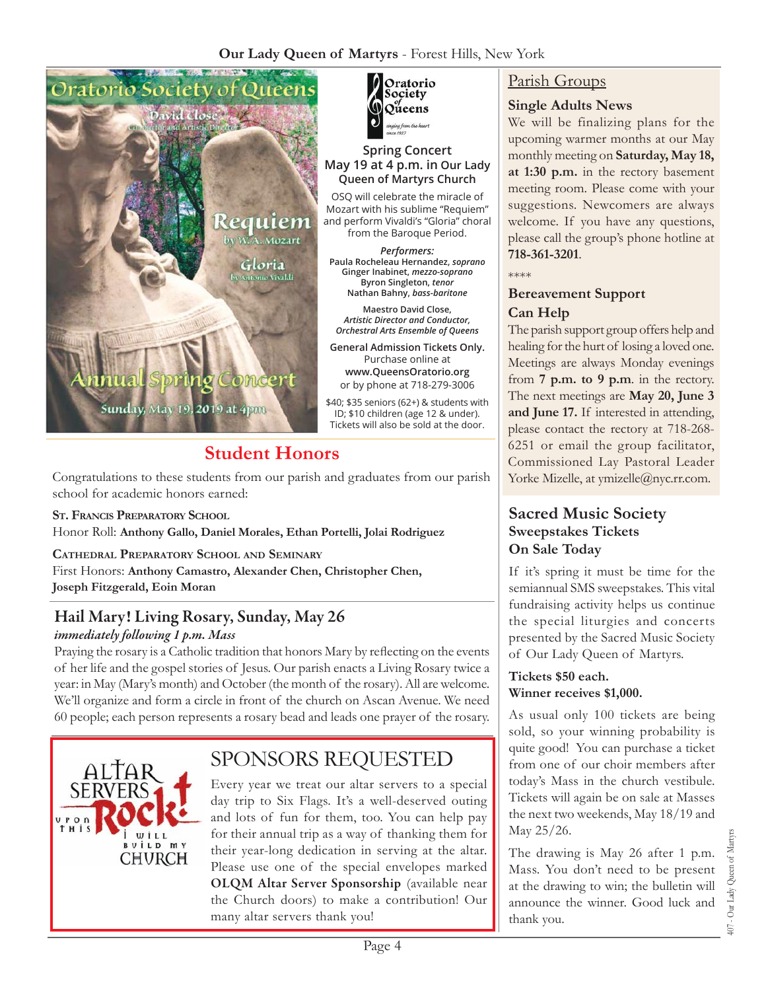

## **Student Honors**

Congratulations to these students from our parish and graduates from our parish school for academic honors earned:

**St. Francis Preparatory School** Honor Roll: **Anthony Gallo, Daniel Morales, Ethan Portelli, Jolai Rodriguez** 

**Cathedral Preparatory School and Seminary** First Honors: **Anthony Camastro, Alexander Chen, Christopher Chen, Joseph Fitzgerald, Eoin Moran**

### Hail Mary! Living Rosary, Sunday, May 26 *immediately following 1 p.m. Mass*

Praying the rosary is a Catholic tradition that honors Mary by reflecting on the events of her life and the gospel stories of Jesus. Our parish enacts a Living Rosary twice a year: in May (Mary's month) and October (the month of the rosary). All are welcome. We'll organize and form a circle in front of the church on Ascan Avenue. We need 60 people; each person represents a rosary bead and leads one prayer of the rosary.



## Sponsors Requested

Every year we treat our altar servers to a special day trip to Six Flags. It's a well-deserved outing and lots of fun for them, too. You can help pay for their annual trip as a way of thanking them for their year-long dedication in serving at the altar. Please use one of the special envelopes marked OLQM Altar Server Sponsorship (available near the Church doors) to make a contribution! Our many altar servers thank you!



#### **Spring Concert May 19 at 4 p.m. in Our Lady Queen of Martyrs Church**

OSQ will celebrate the miracle of Mozart with his sublime "Requiem" and perform Vivaldi's "Gloria" choral from the Baroque Period.

*Performers:* **Paula Rocheleau Hernandez,** *soprano*  **Ginger Inabinet,** *mezzo-soprano*  **Byron Singleton,** *tenor* **Nathan Bahny,** *bass-baritone*

**Maestro David Close,**  *Artistic Director and Conductor, Orchestral Arts Ensemble of Queens* 

**General Admission Tickets Only.**  Purchase online at **[www.QueensOratorio.org](www.queensoratorio.org)**  or by phone at 718-279-3006

\$40; \$35 seniors (62+) & students with ID; \$10 children (age 12 & under). Tickets will also be sold at the door.

### Parish Groups

### **Single Adults News**

We will be finalizing plans for the upcoming warmer months at our May monthly meeting on **Saturday, May 18, at 1:30 p.m.** in the rectory basement meeting room. Please come with your suggestions. Newcomers are always welcome. If you have any questions, please call the group's phone hotline at **718-361-3201**.

\*\*\*\*

### **Bereavement Support Can Help**

The parish support group offers help and healing for the hurt of losing a loved one. Meetings are always Monday evenings from **7 p.m. to 9 p.m**. in the rectory. The next meetings are **May 20, June 3 and June 17.** If interested in attending, please contact the rectory at 718-268- 6251 or email the group facilitator, Commissioned Lay Pastoral Leader Yorke Mizelle, at [ymizelle@nyc.rr.com.](mailto:ymizelle@nyc.rr.com)

### **Sacred Music Society Sweepstakes Tickets On Sale Today**

If it's spring it must be time for the semiannual SMS sweepstakes. This vital fundraising activity helps us continue the special liturgies and concerts presented by the Sacred Music Society of Our Lady Queen of Martyrs.

#### **Tickets \$50 each. Winner receives \$1,000.**

As usual only 100 tickets are being sold, so your winning probability is quite good! You can purchase a ticket from one of our choir members after today's Mass in the church vestibule. Tickets will again be on sale at Masses the next two weekends, May 18/19 and May 25/26.

The drawing is May 26 after 1 p.m. Mass. You don't need to be present at the drawing to win; the bulletin will announce the winner. Good luck and thank you.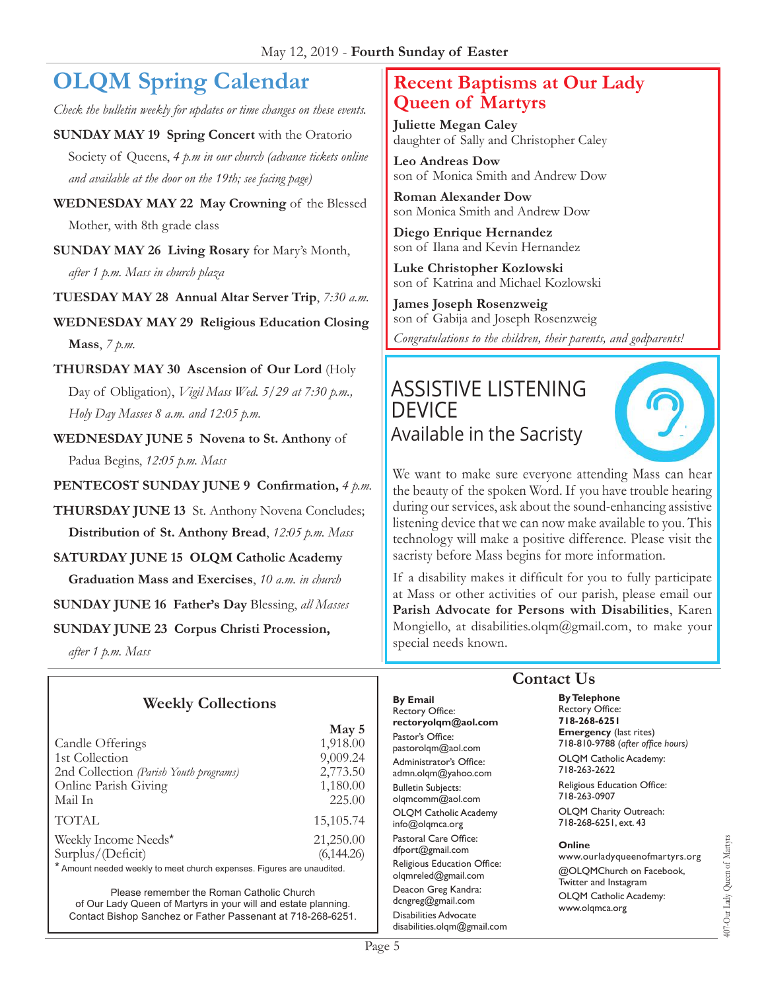# **OLQM Spring Calendar**

*Check the bulletin weekly for updates or time changes on these events.*

**SUNDAY MAY 19 Spring Concert** with the Oratorio Society of Queens, *4 p.m in our church (advance tickets online and available at the door on the 19th; see facing page)*

**Wednesday May 22 May Crowning** of the Blessed Mother, with 8th grade class

**Sunday May 26 Living Rosary** for Mary's Month, *after 1 p.m. Mass in church plaza*

**Tuesday May 28 Annual Altar Server Trip**, *7:30 a.m.*

**Wednesday May 29 Religious Education Closing Mass**, *7 p.m.*

- **Thursday May 30 Ascension of Our Lord** (Holy Day of Obligation), *Vigil Mass Wed. 5/29 at 7:30 p.m., Holy Day Masses 8 a.m. and 12:05 p.m.*
- **Wednesday June 5 Novena to St. Anthony** of Padua Begins, *12:05 p.m. Mass*
- **Pentecost Sunday June 9 Confirmation,** *4 p.m.*
- **THURSDAY JUNE 13** St. Anthony Novena Concludes; **Distribution of St. Anthony Bread**, *12:05 p.m. Mass*

**SATURDAY JUNE 15 OLQM Catholic Academy** 

**Graduation Mass and Exercises**, *10 a.m. in church*

**Sunday June 16 Father's Day** Blessing, *all Masses*

**Sunday June 23 Corpus Christi Procession,**

*after 1 p.m. Mass*

## **Weekly Collections**

|                                        | May 5      |
|----------------------------------------|------------|
| Candle Offerings                       | 1,918.00   |
| 1st Collection                         | 9,009.24   |
| 2nd Collection (Parish Youth programs) | 2,773.50   |
| Online Parish Giving                   | 1,180.00   |
| Mail In                                | 225.00     |
| <b>TOTAL</b>                           | 15,105.74  |
| Weekly Income Needs*                   | 21,250.00  |
| Surplus/(Deficit)                      | (6,144.26) |

\* Amount needed weekly to meet church expenses. Figures are unaudited.

Please remember the Roman Catholic Church of Our Lady Queen of Martyrs in your will and estate planning. Contact Bishop Sanchez or Father Passenant at 718-268-6251.

## **Recent Baptisms at Our Lady Queen of Martyrs**

**Juliette Megan Caley** daughter of Sally and Christopher Caley

**Leo Andreas Dow** son of Monica Smith and Andrew Dow

**Roman Alexander Dow** son Monica Smith and Andrew Dow

**Diego Enrique Hernandez** son of Ilana and Kevin Hernandez

**Luke Christopher Kozlowski** son of Katrina and Michael Kozlowski

**James Joseph Rosenzweig** son of Gabija and Joseph Rosenzweig *Congratulations to the children, their parents, and godparents!*

## Assistive Listening **DEVICE** Available in the Sacristy



We want to make sure everyone attending Mass can hear the beauty of the spoken Word. If you have trouble hearing during our services, ask about the sound-enhancing assistive listening device that we can now make available to you. This technology will make a positive difference. Please visit the sacristy before Mass begins for more information.

If a disability makes it difficult for you to fully participate at Mass or other activities of our parish, please email our **Parish Advocate for Persons with Disabilities**, Karen Mongiello, at [disabilities.olqm@gmail.com](mailto:disabilities.olqm@gmail.com), to make your special needs known.

**By Email** Rectory Office: **rectoryolqm@aol.com** Pastor's Office: pastorolqm@aol.com Administrator's Office: admn.olqm@yahoo.com Bulletin Subjects: olqmcomm@aol.com OLQM Catholic Academy info@olqmca.org Pastoral Care Office: dfport@gmail.com Religious Education Office: olqmreled@gmail.com Deacon Greg Kandra: dcngreg@gmail.com Disabilities Advocate [disabilities.olqm@gmail.com](mailto:disabilities.olqm@gmail.com)

## **Contact Us**

**By Telephone** Rectory Office: **718-268-6251 Emergency** (last rites) 718-810-9788 (*after office hours)* OLQM Catholic Academy:

718-263-2622 Religious Education Office:

718-263-0907

OLQM Charity Outreach: 718-268-6251, ext. 43

#### **Online**

www.ourladyqueenofmartyrs.org @OLQMChurch on Facebook, Twitter and Instagram OLQM Catholic Academy: www.olqmca.org